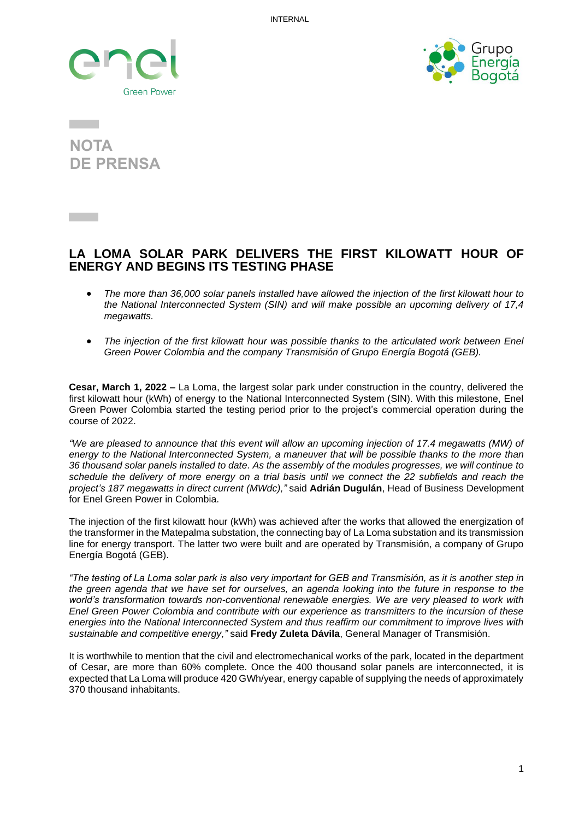



**NOTA DE PRENSA**

## **LA LOMA SOLAR PARK DELIVERS THE FIRST KILOWATT HOUR OF ENERGY AND BEGINS ITS TESTING PHASE**

- *The more than 36,000 solar panels installed have allowed the injection of the first kilowatt hour to the National Interconnected System (SIN) and will make possible an upcoming delivery of 17,4 megawatts.*
- *The injection of the first kilowatt hour was possible thanks to the articulated work between Enel Green Power Colombia and the company Transmisión of Grupo Energía Bogotá (GEB).*

**Cesar, March 1, 2022 –** La Loma, the largest solar park under construction in the country, delivered the first kilowatt hour (kWh) of energy to the National Interconnected System (SIN). With this milestone, Enel Green Power Colombia started the testing period prior to the project's commercial operation during the course of 2022.

*"We are pleased to announce that this event will allow an upcoming injection of 17.4 megawatts (MW) of energy to the National Interconnected System, a maneuver that will be possible thanks to the more than 36 thousand solar panels installed to date. As the assembly of the modules progresses, we will continue to schedule the delivery of more energy on a trial basis until we connect the 22 subfields and reach the project's 187 megawatts in direct current (MWdc),"* said **Adrián Dugulán**, Head of Business Development for Enel Green Power in Colombia.

The injection of the first kilowatt hour (kWh) was achieved after the works that allowed the energization of the transformer in the Matepalma substation, the connecting bay of La Loma substation and its transmission line for energy transport. The latter two were built and are operated by Transmisión, a company of Grupo Energía Bogotá (GEB).

*"The testing of La Loma solar park is also very important for GEB and Transmisión, as it is another step in the green agenda that we have set for ourselves, an agenda looking into the future in response to the world's transformation towards non-conventional renewable energies. We are very pleased to work with Enel Green Power Colombia and contribute with our experience as transmitters to the incursion of these energies into the National Interconnected System and thus reaffirm our commitment to improve lives with sustainable and competitive energy,"* said **Fredy Zuleta Dávila**, General Manager of Transmisión.

It is worthwhile to mention that the civil and electromechanical works of the park, located in the department of Cesar, are more than 60% complete. Once the 400 thousand solar panels are interconnected, it is expected that La Loma will produce 420 GWh/year, energy capable of supplying the needs of approximately 370 thousand inhabitants.